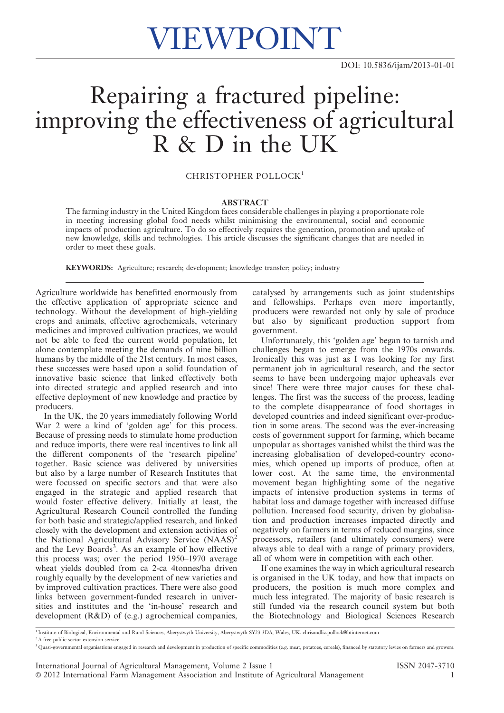# VIEWPOINT

## Repairing a fractured pipeline: improving the effectiveness of agricultural R & D in the UK

CHRISTOPHER POLLOCK<sup>1</sup>

#### ABSTRACT

The farming industry in the United Kingdom faces considerable challenges in playing a proportionate role in meeting increasing global food needs whilst minimising the environmental, social and economic impacts of production agriculture. To do so effectively requires the generation, promotion and uptake of new knowledge, skills and technologies. This article discusses the significant changes that are needed in order to meet these goals.

KEYWORDS: Agriculture; research; development; knowledge transfer; policy; industry

Agriculture worldwide has benefitted enormously from the effective application of appropriate science and technology. Without the development of high-yielding crops and animals, effective agrochemicals, veterinary medicines and improved cultivation practices, we would not be able to feed the current world population, let alone contemplate meeting the demands of nine billion humans by the middle of the 21st century. In most cases, these successes were based upon a solid foundation of innovative basic science that linked effectively both into directed strategic and applied research and into effective deployment of new knowledge and practice by producers.

In the UK, the 20 years immediately following World War 2 were a kind of 'golden age' for this process. Because of pressing needs to stimulate home production and reduce imports, there were real incentives to link all the different components of the 'research pipeline' together. Basic science was delivered by universities but also by a large number of Research Institutes that were focussed on specific sectors and that were also engaged in the strategic and applied research that would foster effective delivery. Initially at least, the Agricultural Research Council controlled the funding for both basic and strategic/applied research, and linked closely with the development and extension activities of the National Agricultural Advisory Service  $(NAAS)^2$ and the Levy Boards<sup>3</sup>. As an example of how effective this process was; over the period 1950–1970 average wheat yields doubled from ca 2-ca 4tonnes/ha driven roughly equally by the development of new varieties and by improved cultivation practices. There were also good links between government-funded research in universities and institutes and the 'in-house' research and development (R&D) of (e.g.) agrochemical companies,

catalysed by arrangements such as joint studentships and fellowships. Perhaps even more importantly, producers were rewarded not only by sale of produce but also by significant production support from government.

Unfortunately, this 'golden age' began to tarnish and challenges began to emerge from the 1970s onwards. Ironically this was just as I was looking for my first permanent job in agricultural research, and the sector seems to have been undergoing major upheavals ever since! There were three major causes for these challenges. The first was the success of the process, leading to the complete disappearance of food shortages in developed countries and indeed significant over-production in some areas. The second was the ever-increasing costs of government support for farming, which became unpopular as shortages vanished whilst the third was the increasing globalisation of developed-country economies, which opened up imports of produce, often at lower cost. At the same time, the environmental movement began highlighting some of the negative impacts of intensive production systems in terms of habitat loss and damage together with increased diffuse pollution. Increased food security, driven by globalisation and production increases impacted directly and negatively on farmers in terms of reduced margins, since processors, retailers (and ultimately consumers) were always able to deal with a range of primary providers, all of whom were in competition with each other.

If one examines the way in which agricultural research is organised in the UK today, and how that impacts on producers, the position is much more complex and much less integrated. The majority of basic research is still funded via the research council system but both the Biotechnology and Biological Sciences Research

<sup>1</sup> Institute of Biological, Environmental and Rural Sciences, Aberystwyth University, Aberystwyth SY23 3DA, Wales, UK. chrisandliz.pollock@btinternet.com

<sup>&</sup>lt;sup>2</sup>A free public-sector extension service.

<sup>&</sup>lt;sup>3</sup> Quasi-governmental organisations engaged in research and development in production of specific commodities (e.g. meat, potatoes, cereals), financed by statutory levies on farmers and growers.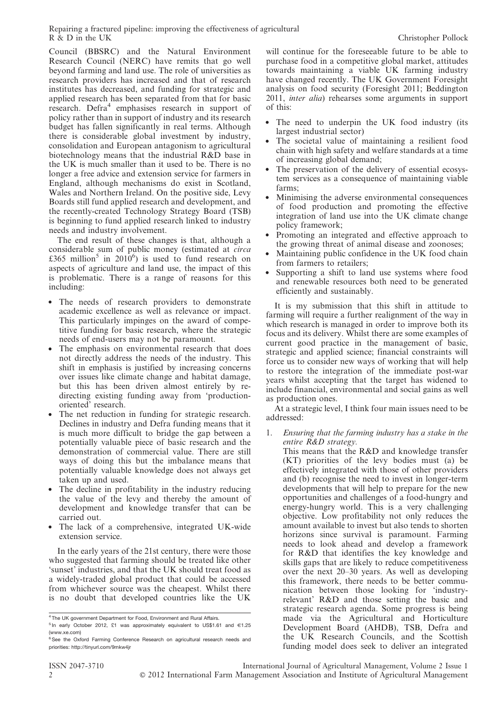Council (BBSRC) and the Natural Environment Research Council (NERC) have remits that go well beyond farming and land use. The role of universities as research providers has increased and that of research institutes has decreased, and funding for strategic and applied research has been separated from that for basic research. Defra<sup>4</sup> emphasises research in support of policy rather than in support of industry and its research budget has fallen significantly in real terms. Although there is considerable global investment by industry, consolidation and European antagonism to agricultural biotechnology means that the industrial R&D base in the UK is much smaller than it used to be. There is no longer a free advice and extension service for farmers in England, although mechanisms do exist in Scotland, Wales and Northern Ireland. On the positive side, Levy Boards still fund applied research and development, and the recently-created Technology Strategy Board (TSB) is beginning to fund applied research linked to industry needs and industry involvement.

The end result of these changes is that, although a considerable sum of public money (estimated at circa £365 million<sup>5</sup> in 2010<sup>6</sup>) is used to fund research on aspects of agriculture and land use, the impact of this is problematic. There is a range of reasons for this including:

- The needs of research providers to demonstrate academic excellence as well as relevance or impact. This particularly impinges on the award of competitive funding for basic research, where the strategic needs of end-users may not be paramount.
- The emphasis on environmental research that does not directly address the needs of the industry. This shift in emphasis is justified by increasing concerns over issues like climate change and habitat damage, but this has been driven almost entirely by redirecting existing funding away from 'productionoriented' research.
- The net reduction in funding for strategic research. Declines in industry and Defra funding means that it is much more difficult to bridge the gap between a potentially valuable piece of basic research and the demonstration of commercial value. There are still ways of doing this but the imbalance means that potentially valuable knowledge does not always get taken up and used.
- The decline in profitability in the industry reducing the value of the levy and thereby the amount of development and knowledge transfer that can be carried out.
- The lack of a comprehensive, integrated UK-wide extension service.

In the early years of the 21st century, there were those who suggested that farming should be treated like other 'sunset' industries, and that the UK should treat food as a widely-traded global product that could be accessed from whichever source was the cheapest. Whilst there is no doubt that developed countries like the UK will continue for the foreseeable future to be able to purchase food in a competitive global market, attitudes towards maintaining a viable UK farming industry have changed recently. The UK Government Foresight analysis on food security (Foresight 2011; Beddington 2011, inter alia) rehearses some arguments in support of this:

- The need to underpin the UK food industry (its largest industrial sector)
- The societal value of maintaining a resilient food chain with high safety and welfare standards at a time of increasing global demand;
- The preservation of the delivery of essential ecosystem services as a consequence of maintaining viable farms;
- Minimising the adverse environmental consequences of food production and promoting the effective integration of land use into the UK climate change policy framework;
- Promoting an integrated and effective approach to the growing threat of animal disease and zoonoses;
- Maintaining public confidence in the UK food chain from farmers to retailers;
- Supporting a shift to land use systems where food and renewable resources both need to be generated efficiently and sustainably.

It is my submission that this shift in attitude to farming will require a further realignment of the way in which research is managed in order to improve both its focus and its delivery. Whilst there are some examples of current good practice in the management of basic, strategic and applied science; financial constraints will force us to consider new ways of working that will help to restore the integration of the immediate post-war years whilst accepting that the target has widened to include financial, environmental and social gains as well as production ones.

At a strategic level, I think four main issues need to be addressed:

1. Ensuring that the farming industry has a stake in the entire R&D strategy.

This means that the R&D and knowledge transfer (KT) priorities of the levy bodies must (a) be effectively integrated with those of other providers and (b) recognise the need to invest in longer-term developments that will help to prepare for the new opportunities and challenges of a food-hungry and energy-hungry world. This is a very challenging objective. Low profitability not only reduces the amount available to invest but also tends to shorten horizons since survival is paramount. Farming needs to look ahead and develop a framework for R&D that identifies the key knowledge and skills gaps that are likely to reduce competitiveness over the next 20–30 years. As well as developing this framework, there needs to be better communication between those looking for 'industryrelevant' R&D and those setting the basic and strategic research agenda. Some progress is being made via the Agricultural and Horticulture Development Board (AHDB), TSB, Defra and the UK Research Councils, and the Scottish funding model does seek to deliver an integrated

<sup>4</sup> The UK government Department for Food, Environment and Rural Affairs.

 $5$  In early October 2012, £1 was approximately equivalent to US\$1.61 and  $\in$ 1.25 (www.xe.com)

 $6$  See the Oxford Farming Conference Research on agricultural research needs and priorities: http://tinyurl.com/9mkw4jr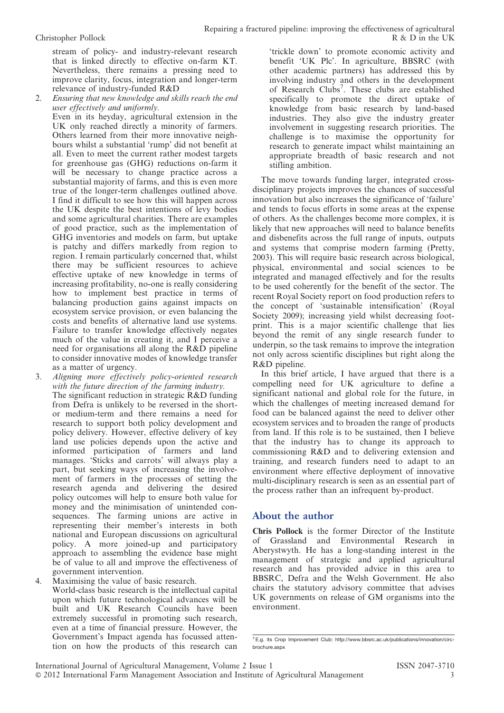stream of policy- and industry-relevant research that is linked directly to effective on-farm KT. Nevertheless, there remains a pressing need to improve clarity, focus, integration and longer-term relevance of industry-funded R&D

2. Ensuring that new knowledge and skills reach the end user effectively and uniformly.

Even in its heyday, agricultural extension in the UK only reached directly a minority of farmers. Others learned from their more innovative neighbours whilst a substantial 'rump' did not benefit at all. Even to meet the current rather modest targets for greenhouse gas (GHG) reductions on-farm it will be necessary to change practice across a substantial majority of farms, and this is even more true of the longer-term challenges outlined above. I find it difficult to see how this will happen across the UK despite the best intentions of levy bodies and some agricultural charities. There are examples of good practice, such as the implementation of GHG inventories and models on farm, but uptake is patchy and differs markedly from region to region. I remain particularly concerned that, whilst there may be sufficient resources to achieve effective uptake of new knowledge in terms of increasing profitability, no-one is really considering how to implement best practice in terms of balancing production gains against impacts on ecosystem service provision, or even balancing the costs and benefits of alternative land use systems. Failure to transfer knowledge effectively negates much of the value in creating it, and I perceive a need for organisations all along the R&D pipeline to consider innovative modes of knowledge transfer as a matter of urgency.

- 3. Aligning more effectively policy-oriented research with the future direction of the farming industry. The significant reduction in strategic R&D funding from Defra is unlikely to be reversed in the shortor medium-term and there remains a need for research to support both policy development and policy delivery. However, effective delivery of key land use policies depends upon the active and informed participation of farmers and land manages. 'Sticks and carrots' will always play a part, but seeking ways of increasing the involvement of farmers in the processes of setting the research agenda and delivering the desired policy outcomes will help to ensure both value for money and the minimisation of unintended consequences. The farming unions are active in representing their member's interests in both national and European discussions on agricultural policy. A more joined-up and participatory approach to assembling the evidence base might be of value to all and improve the effectiveness of government intervention.
- 4. Maximising the value of basic research.

World-class basic research is the intellectual capital upon which future technological advances will be built and UK Research Councils have been extremely successful in promoting such research, even at a time of financial pressure. However, the Government's Impact agenda has focussed attention on how the products of this research can

'trickle down' to promote economic activity and benefit 'UK Plc'. In agriculture, BBSRC (with other academic partners) has addressed this by involving industry and others in the development of Research Clubs<sup>7</sup>. These clubs are established specifically to promote the direct uptake of knowledge from basic research by land-based industries. They also give the industry greater involvement in suggesting research priorities. The challenge is to maximise the opportunity for research to generate impact whilst maintaining an appropriate breadth of basic research and not stifling ambition.

The move towards funding larger, integrated crossdisciplinary projects improves the chances of successful innovation but also increases the significance of 'failure' and tends to focus efforts in some areas at the expense of others. As the challenges become more complex, it is likely that new approaches will need to balance benefits and disbenefits across the full range of inputs, outputs and systems that comprise modern farming (Pretty, 2003). This will require basic research across biological, physical, environmental and social sciences to be integrated and managed effectively and for the results to be used coherently for the benefit of the sector. The recent Royal Society report on food production refers to the concept of 'sustainable intensification' (Royal Society 2009); increasing yield whilst decreasing footprint. This is a major scientific challenge that lies beyond the remit of any single research funder to underpin, so the task remains to improve the integration not only across scientific disciplines but right along the R&D pipeline.

In this brief article, I have argued that there is a compelling need for UK agriculture to define a significant national and global role for the future, in which the challenges of meeting increased demand for food can be balanced against the need to deliver other ecosystem services and to broaden the range of products from land. If this role is to be sustained, then I believe that the industry has to change its approach to commissioning R&D and to delivering extension and training, and research funders need to adapt to an environment where effective deployment of innovative multi-disciplinary research is seen as an essential part of the process rather than an infrequent by-product.

### About the author

Chris Pollock is the former Director of the Institute of Grassland and Environmental Research in Aberystwyth. He has a long-standing interest in the management of strategic and applied agricultural research and has provided advice in this area to BBSRC, Defra and the Welsh Government. He also chairs the statutory advisory committee that advises UK governments on release of GM organisms into the environment.

<sup>7</sup> E.g. its Crop Improvement Club: http://www.bbsrc.ac.uk/publications/innovation/circbrochure.aspx